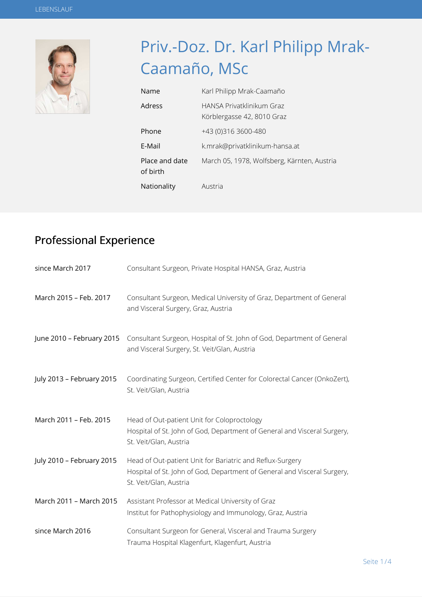

# Priv.-Doz. Dr. Karl Philipp Mrak-Caamaño, MSc

| Name                       | Karl Philipp Mrak-Caamaño                               |
|----------------------------|---------------------------------------------------------|
| Adress                     | HANSA Privatklinikum Graz<br>Körblergasse 42, 8010 Graz |
| Phone                      | +43 (0)316 3600-480                                     |
| F-Mail                     | k.mrak@privatklinikum-hansa.at                          |
| Place and date<br>of birth | March 05, 1978, Wolfsberg, Kärnten, Austria             |
| Nationality                | Austria                                                 |

### Professional Experience

| since March 2017          | Consultant Surgeon, Private Hospital HANSA, Graz, Austria                                                                                                       |
|---------------------------|-----------------------------------------------------------------------------------------------------------------------------------------------------------------|
| March 2015 - Feb. 2017    | Consultant Surgeon, Medical University of Graz, Department of General<br>and Visceral Surgery, Graz, Austria                                                    |
| June 2010 – February 2015 | Consultant Surgeon, Hospital of St. John of God, Department of General<br>and Visceral Surgery, St. Veit/Glan, Austria                                          |
| July 2013 - February 2015 | Coordinating Surgeon, Certified Center for Colorectal Cancer (OnkoZert),<br>St. Veit/Glan, Austria                                                              |
| March 2011 - Feb. 2015    | Head of Out-patient Unit for Coloproctology<br>Hospital of St. John of God, Department of General and Visceral Surgery,<br>St. Veit/Glan, Austria               |
| July 2010 - February 2015 | Head of Out-patient Unit for Bariatric and Reflux-Surgery<br>Hospital of St. John of God, Department of General and Visceral Surgery,<br>St. Veit/Glan, Austria |
| March 2011 - March 2015   | Assistant Professor at Medical University of Graz<br>Institut for Pathophysiology and Immunology, Graz, Austria                                                 |
| since March 2016          | Consultant Surgeon for General, Visceral and Trauma Surgery<br>Trauma Hospital Klagenfurt, Klagenfurt, Austria                                                  |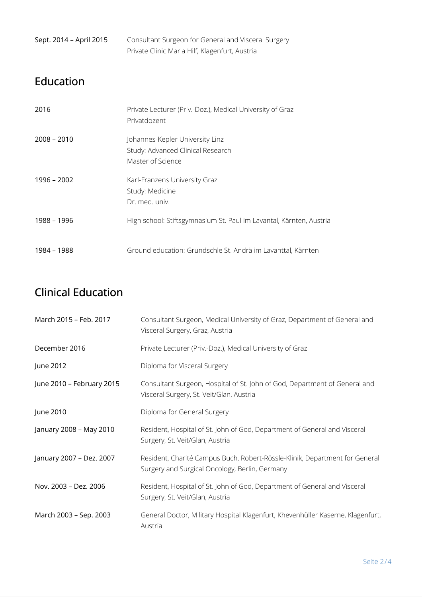| Sept. 2014 - April 2015 | Consultant Surgeon for General and Visceral Surgery |
|-------------------------|-----------------------------------------------------|
|                         | Private Clinic Maria Hilf, Klagenfurt, Austria      |

#### Education

| 2016          | Private Lecturer (Priv.-Doz.), Medical University of Graz<br>Privatdozent                 |
|---------------|-------------------------------------------------------------------------------------------|
| $2008 - 2010$ | Johannes-Kepler University Linz<br>Study: Advanced Clinical Research<br>Master of Science |
| 1996 - 2002   | Karl-Franzens University Graz<br>Study: Medicine<br>Dr. med. univ.                        |
| 1988 - 1996   | High school: Stiftsgymnasium St. Paul im Lavantal, Kärnten, Austria                       |
| 1984 - 1988   | Ground education: Grundschle St. Andrä im Lavanttal, Kärnten                              |

#### Clinical Education

| March 2015 - Feb. 2017    | Consultant Surgeon, Medical University of Graz, Department of General and<br>Visceral Surgery, Graz, Austria                  |
|---------------------------|-------------------------------------------------------------------------------------------------------------------------------|
| December 2016             | Private Lecturer (Priv.-Doz.), Medical University of Graz                                                                     |
| June 2012                 | Diploma for Visceral Surgery                                                                                                  |
| June 2010 - February 2015 | Consultant Surgeon, Hospital of St. John of God, Department of General and<br>Visceral Surgery, St. Veit/Glan, Austria        |
| June 2010                 | Diploma for General Surgery                                                                                                   |
| January 2008 - May 2010   | Resident, Hospital of St. John of God, Department of General and Visceral<br>Surgery, St. Veit/Glan, Austria                  |
| January 2007 - Dez. 2007  | Resident, Charité Campus Buch, Robert-Rössle-Klinik, Department for General<br>Surgery and Surgical Oncology, Berlin, Germany |
| Nov. 2003 - Dez. 2006     | Resident, Hospital of St. John of God, Department of General and Visceral<br>Surgery, St. Veit/Glan, Austria                  |
| March 2003 - Sep. 2003    | General Doctor, Military Hospital Klagenfurt, Khevenhüller Kaserne, Klagenfurt,<br>Austria                                    |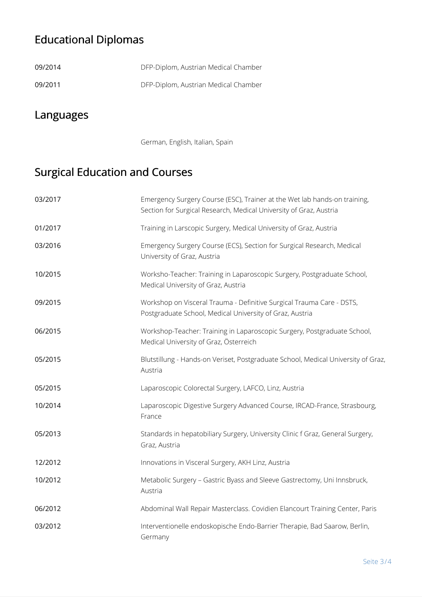## Educational Diplomas

| 09/2014 | DFP-Diplom, Austrian Medical Chamber |
|---------|--------------------------------------|
| 09/2011 | DFP-Diplom, Austrian Medical Chamber |

#### Languages

German, English, Italian, Spain

## Surgical Education and Courses

| 03/2017 | Emergency Surgery Course (ESC), Trainer at the Wet lab hands-on training,<br>Section for Surgical Research, Medical University of Graz, Austria |
|---------|-------------------------------------------------------------------------------------------------------------------------------------------------|
| 01/2017 | Training in Larscopic Surgery, Medical University of Graz, Austria                                                                              |
| 03/2016 | Emergency Surgery Course (ECS), Section for Surgical Research, Medical<br>University of Graz, Austria                                           |
| 10/2015 | Worksho-Teacher: Training in Laparoscopic Surgery, Postgraduate School,<br>Medical University of Graz, Austria                                  |
| 09/2015 | Workshop on Visceral Trauma - Definitive Surgical Trauma Care - DSTS,<br>Postgraduate School, Medical University of Graz, Austria               |
| 06/2015 | Workshop-Teacher: Training in Laparoscopic Surgery, Postgraduate School,<br>Medical University of Graz, Österreich                              |
| 05/2015 | Blutstillung - Hands-on Veriset, Postgraduate School, Medical University of Graz,<br>Austria                                                    |
| 05/2015 | Laparoscopic Colorectal Surgery, LAFCO, Linz, Austria                                                                                           |
| 10/2014 | Laparoscopic Digestive Surgery Advanced Course, IRCAD-France, Strasbourg,<br>France                                                             |
| 05/2013 | Standards in hepatobiliary Surgery, University Clinic f Graz, General Surgery,<br>Graz, Austria                                                 |
| 12/2012 | Innovations in Visceral Surgery, AKH Linz, Austria                                                                                              |
| 10/2012 | Metabolic Surgery - Gastric Byass and Sleeve Gastrectomy, Uni Innsbruck,<br>Austria                                                             |
| 06/2012 | Abdominal Wall Repair Masterclass. Covidien Elancourt Training Center, Paris                                                                    |
| 03/2012 | Interventionelle endoskopische Endo-Barrier Therapie, Bad Saarow, Berlin,<br>Germany                                                            |